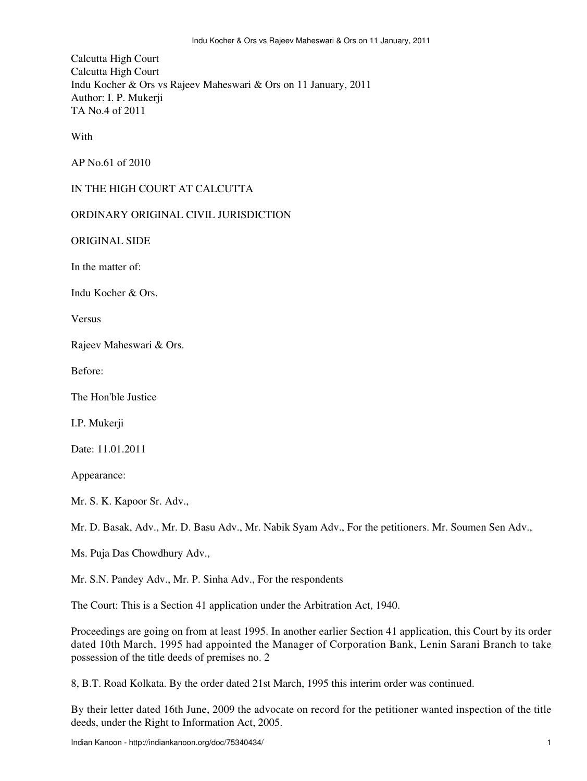Calcutta High Court Calcutta High Court Indu Kocher & Ors vs Rajeev Maheswari & Ors on 11 January, 2011 Author: I. P. Mukerji TA No.4 of 2011

With

AP No.61 of 2010

## IN THE HIGH COURT AT CALCUTTA

## ORDINARY ORIGINAL CIVIL JURISDICTION

ORIGINAL SIDE

In the matter of:

Indu Kocher & Ors.

Versus

Rajeev Maheswari & Ors.

Before:

The Hon'ble Justice

I.P. Mukerji

Date: 11.01.2011

Appearance:

Mr. S. K. Kapoor Sr. Adv.,

Mr. D. Basak, Adv., Mr. D. Basu Adv., Mr. Nabik Syam Adv., For the petitioners. Mr. Soumen Sen Adv.,

Ms. Puja Das Chowdhury Adv.,

Mr. S.N. Pandey Adv., Mr. P. Sinha Adv., For the respondents

The Court: This is a Section 41 application under the Arbitration Act, 1940.

Proceedings are going on from at least 1995. In another earlier Section 41 application, this Court by its order dated 10th March, 1995 had appointed the Manager of Corporation Bank, Lenin Sarani Branch to take possession of the title deeds of premises no. 2

8, B.T. Road Kolkata. By the order dated 21st March, 1995 this interim order was continued.

By their letter dated 16th June, 2009 the advocate on record for the petitioner wanted inspection of the title deeds, under the Right to Information Act, 2005.